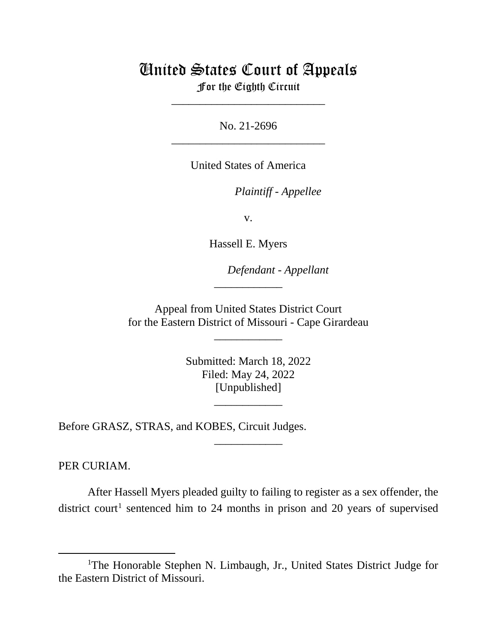## United States Court of Appeals

For the Eighth Circuit \_\_\_\_\_\_\_\_\_\_\_\_\_\_\_\_\_\_\_\_\_\_\_\_\_\_\_

No. 21-2696 \_\_\_\_\_\_\_\_\_\_\_\_\_\_\_\_\_\_\_\_\_\_\_\_\_\_\_

United States of America

*Plaintiff - Appellee*

v.

Hassell E. Myers

*Defendant - Appellant*

Appeal from United States District Court for the Eastern District of Missouri - Cape Girardeau

\_\_\_\_\_\_\_\_\_\_\_\_

\_\_\_\_\_\_\_\_\_\_\_\_

Submitted: March 18, 2022 Filed: May 24, 2022 [Unpublished]

\_\_\_\_\_\_\_\_\_\_\_\_

\_\_\_\_\_\_\_\_\_\_\_\_

Before GRASZ, STRAS, and KOBES, Circuit Judges.

PER CURIAM.

 After Hassell Myers pleaded guilty to failing to register as a sex offender, the district court<sup>[1](#page-0-0)</sup> sentenced him to 24 months in prison and 20 years of supervised

<span id="page-0-0"></span><sup>&</sup>lt;sup>1</sup>The Honorable Stephen N. Limbaugh, Jr., United States District Judge for the Eastern District of Missouri.